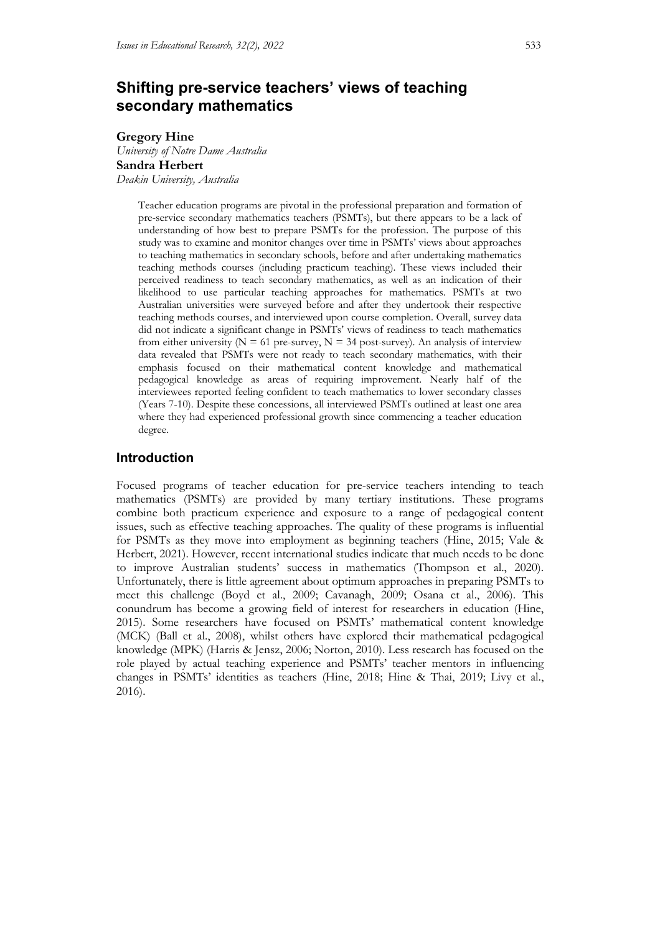# **Shifting pre-service teachers' views of teaching secondary mathematics**

#### **Gregory Hine**

*University of Notre Dame Australia* **Sandra Herbert** *Deakin University, Australia*

> Teacher education programs are pivotal in the professional preparation and formation of pre-service secondary mathematics teachers (PSMTs), but there appears to be a lack of understanding of how best to prepare PSMTs for the profession. The purpose of this study was to examine and monitor changes over time in PSMTs' views about approaches to teaching mathematics in secondary schools, before and after undertaking mathematics teaching methods courses (including practicum teaching). These views included their perceived readiness to teach secondary mathematics, as well as an indication of their likelihood to use particular teaching approaches for mathematics. PSMTs at two Australian universities were surveyed before and after they undertook their respective teaching methods courses, and interviewed upon course completion. Overall, survey data did not indicate a significant change in PSMTs' views of readiness to teach mathematics from either university ( $N = 61$  pre-survey,  $N = 34$  post-survey). An analysis of interview data revealed that PSMTs were not ready to teach secondary mathematics, with their emphasis focused on their mathematical content knowledge and mathematical pedagogical knowledge as areas of requiring improvement. Nearly half of the interviewees reported feeling confident to teach mathematics to lower secondary classes (Years 7-10). Despite these concessions, all interviewed PSMTs outlined at least one area where they had experienced professional growth since commencing a teacher education degree.

## **Introduction**

Focused programs of teacher education for pre-service teachers intending to teach mathematics (PSMTs) are provided by many tertiary institutions. These programs combine both practicum experience and exposure to a range of pedagogical content issues, such as effective teaching approaches. The quality of these programs is influential for PSMTs as they move into employment as beginning teachers (Hine, 2015; Vale & Herbert, 2021). However, recent international studies indicate that much needs to be done to improve Australian students' success in mathematics (Thompson et al., 2020). Unfortunately, there is little agreement about optimum approaches in preparing PSMTs to meet this challenge (Boyd et al., 2009; Cavanagh, 2009; Osana et al., 2006). This conundrum has become a growing field of interest for researchers in education (Hine, 2015). Some researchers have focused on PSMTs' mathematical content knowledge (MCK) (Ball et al., 2008), whilst others have explored their mathematical pedagogical knowledge (MPK) (Harris & Jensz, 2006; Norton, 2010). Less research has focused on the role played by actual teaching experience and PSMTs' teacher mentors in influencing changes in PSMTs' identities as teachers (Hine, 2018; Hine & Thai, 2019; Livy et al., 2016).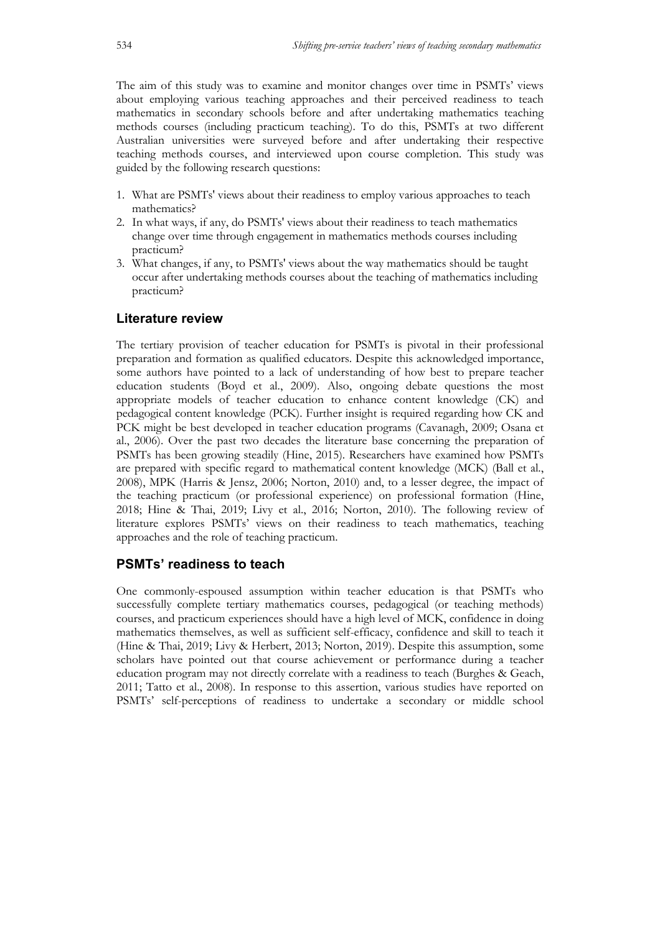The aim of this study was to examine and monitor changes over time in PSMTs' views about employing various teaching approaches and their perceived readiness to teach mathematics in secondary schools before and after undertaking mathematics teaching methods courses (including practicum teaching). To do this, PSMTs at two different Australian universities were surveyed before and after undertaking their respective teaching methods courses, and interviewed upon course completion. This study was guided by the following research questions:

- 1. What are PSMTs' views about their readiness to employ various approaches to teach mathematics?
- 2. In what ways, if any, do PSMTs' views about their readiness to teach mathematics change over time through engagement in mathematics methods courses including practicum?
- 3. What changes, if any, to PSMTs' views about the way mathematics should be taught occur after undertaking methods courses about the teaching of mathematics including practicum?

## **Literature review**

The tertiary provision of teacher education for PSMTs is pivotal in their professional preparation and formation as qualified educators. Despite this acknowledged importance, some authors have pointed to a lack of understanding of how best to prepare teacher education students (Boyd et al., 2009). Also, ongoing debate questions the most appropriate models of teacher education to enhance content knowledge (CK) and pedagogical content knowledge (PCK). Further insight is required regarding how CK and PCK might be best developed in teacher education programs (Cavanagh, 2009; Osana et al., 2006). Over the past two decades the literature base concerning the preparation of PSMTs has been growing steadily (Hine, 2015). Researchers have examined how PSMTs are prepared with specific regard to mathematical content knowledge (MCK) (Ball et al., 2008), MPK (Harris & Jensz, 2006; Norton, 2010) and, to a lesser degree, the impact of the teaching practicum (or professional experience) on professional formation (Hine, 2018; Hine & Thai, 2019; Livy et al., 2016; Norton, 2010). The following review of literature explores PSMTs' views on their readiness to teach mathematics, teaching approaches and the role of teaching practicum.

## **PSMTs' readiness to teach**

One commonly-espoused assumption within teacher education is that PSMTs who successfully complete tertiary mathematics courses, pedagogical (or teaching methods) courses, and practicum experiences should have a high level of MCK, confidence in doing mathematics themselves, as well as sufficient self-efficacy, confidence and skill to teach it (Hine & Thai, 2019; Livy & Herbert, 2013; Norton, 2019). Despite this assumption, some scholars have pointed out that course achievement or performance during a teacher education program may not directly correlate with a readiness to teach (Burghes & Geach, 2011; Tatto et al., 2008). In response to this assertion, various studies have reported on PSMTs' self-perceptions of readiness to undertake a secondary or middle school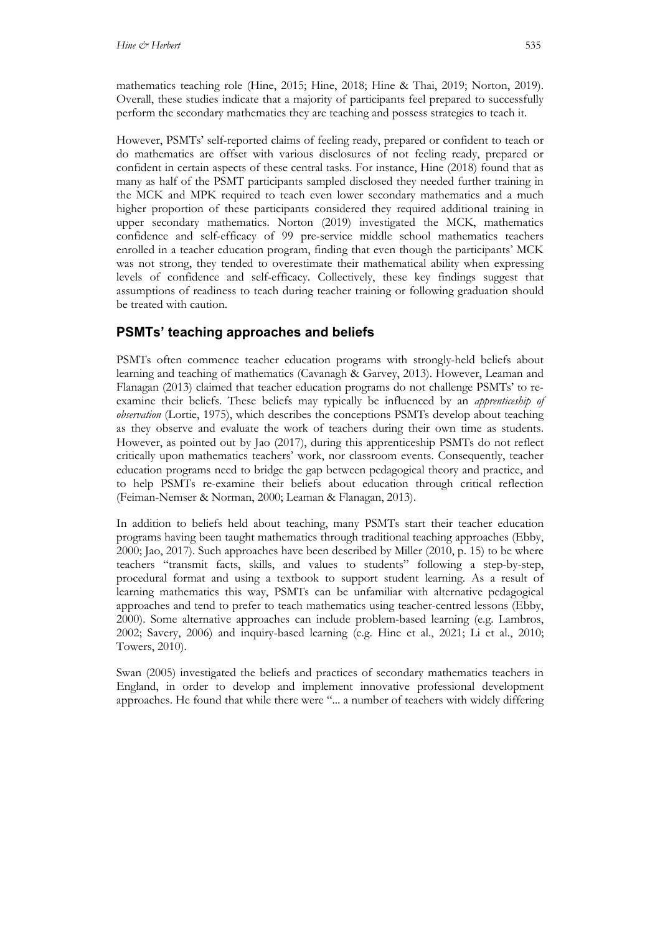mathematics teaching role (Hine, 2015; Hine, 2018; Hine & Thai, 2019; Norton, 2019). Overall, these studies indicate that a majority of participants feel prepared to successfully perform the secondary mathematics they are teaching and possess strategies to teach it.

However, PSMTs' self-reported claims of feeling ready, prepared or confident to teach or do mathematics are offset with various disclosures of not feeling ready, prepared or confident in certain aspects of these central tasks. For instance, Hine (2018) found that as many as half of the PSMT participants sampled disclosed they needed further training in the MCK and MPK required to teach even lower secondary mathematics and a much higher proportion of these participants considered they required additional training in upper secondary mathematics. Norton (2019) investigated the MCK, mathematics confidence and self-efficacy of 99 pre-service middle school mathematics teachers enrolled in a teacher education program, finding that even though the participants' MCK was not strong, they tended to overestimate their mathematical ability when expressing levels of confidence and self-efficacy. Collectively, these key findings suggest that assumptions of readiness to teach during teacher training or following graduation should be treated with caution.

## **PSMTs' teaching approaches and beliefs**

PSMTs often commence teacher education programs with strongly-held beliefs about learning and teaching of mathematics (Cavanagh & Garvey, 2013). However, Leaman and Flanagan (2013) claimed that teacher education programs do not challenge PSMTs' to reexamine their beliefs. These beliefs may typically be influenced by an *apprenticeship of observation* (Lortie, 1975), which describes the conceptions PSMTs develop about teaching as they observe and evaluate the work of teachers during their own time as students. However, as pointed out by Jao (2017), during this apprenticeship PSMTs do not reflect critically upon mathematics teachers' work, nor classroom events. Consequently, teacher education programs need to bridge the gap between pedagogical theory and practice, and to help PSMTs re-examine their beliefs about education through critical reflection (Feiman-Nemser & Norman, 2000; Leaman & Flanagan, 2013).

In addition to beliefs held about teaching, many PSMTs start their teacher education programs having been taught mathematics through traditional teaching approaches (Ebby, 2000; Jao, 2017). Such approaches have been described by Miller (2010, p. 15) to be where teachers "transmit facts, skills, and values to students" following a step-by-step, procedural format and using a textbook to support student learning. As a result of learning mathematics this way, PSMTs can be unfamiliar with alternative pedagogical approaches and tend to prefer to teach mathematics using teacher-centred lessons (Ebby, 2000). Some alternative approaches can include problem-based learning (e.g. Lambros, 2002; Savery, 2006) and inquiry-based learning (e.g. Hine et al., 2021; Li et al., 2010; Towers, 2010).

Swan (2005) investigated the beliefs and practices of secondary mathematics teachers in England, in order to develop and implement innovative professional development approaches. He found that while there were "... a number of teachers with widely differing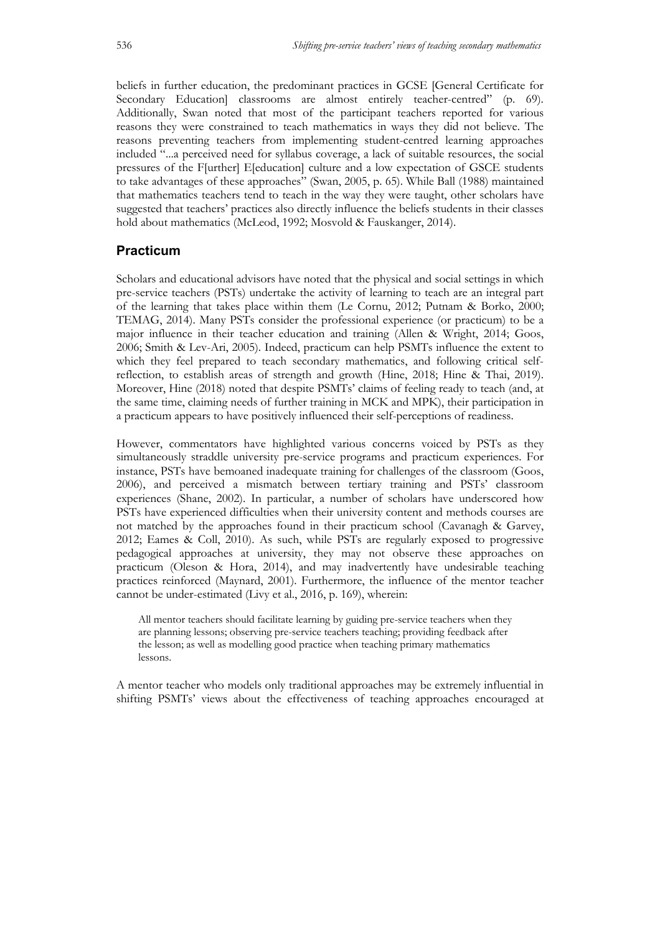beliefs in further education, the predominant practices in GCSE [General Certificate for Secondary Education] classrooms are almost entirely teacher-centred" (p. 69). Additionally, Swan noted that most of the participant teachers reported for various reasons they were constrained to teach mathematics in ways they did not believe. The reasons preventing teachers from implementing student-centred learning approaches included "...a perceived need for syllabus coverage, a lack of suitable resources, the social pressures of the F[urther] E[education] culture and a low expectation of GSCE students to take advantages of these approaches" (Swan, 2005, p. 65). While Ball (1988) maintained that mathematics teachers tend to teach in the way they were taught, other scholars have suggested that teachers' practices also directly influence the beliefs students in their classes hold about mathematics (McLeod, 1992; Mosvold & Fauskanger, 2014).

## **Practicum**

Scholars and educational advisors have noted that the physical and social settings in which pre-service teachers (PSTs) undertake the activity of learning to teach are an integral part of the learning that takes place within them (Le Cornu, 2012; Putnam & Borko, 2000; TEMAG, 2014). Many PSTs consider the professional experience (or practicum) to be a major influence in their teacher education and training (Allen & Wright, 2014; Goos, 2006; Smith & Lev-Ari, 2005). Indeed, practicum can help PSMTs influence the extent to which they feel prepared to teach secondary mathematics, and following critical selfreflection, to establish areas of strength and growth (Hine, 2018; Hine & Thai, 2019). Moreover, Hine (2018) noted that despite PSMTs' claims of feeling ready to teach (and, at the same time, claiming needs of further training in MCK and MPK), their participation in a practicum appears to have positively influenced their self-perceptions of readiness.

However, commentators have highlighted various concerns voiced by PSTs as they simultaneously straddle university pre-service programs and practicum experiences. For instance, PSTs have bemoaned inadequate training for challenges of the classroom (Goos, 2006), and perceived a mismatch between tertiary training and PSTs' classroom experiences (Shane, 2002). In particular, a number of scholars have underscored how PSTs have experienced difficulties when their university content and methods courses are not matched by the approaches found in their practicum school (Cavanagh & Garvey, 2012; Eames & Coll, 2010). As such, while PSTs are regularly exposed to progressive pedagogical approaches at university, they may not observe these approaches on practicum (Oleson & Hora, 2014), and may inadvertently have undesirable teaching practices reinforced (Maynard, 2001). Furthermore, the influence of the mentor teacher cannot be under-estimated (Livy et al., 2016, p. 169), wherein:

All mentor teachers should facilitate learning by guiding pre-service teachers when they are planning lessons; observing pre-service teachers teaching; providing feedback after the lesson; as well as modelling good practice when teaching primary mathematics lessons.

A mentor teacher who models only traditional approaches may be extremely influential in shifting PSMTs' views about the effectiveness of teaching approaches encouraged at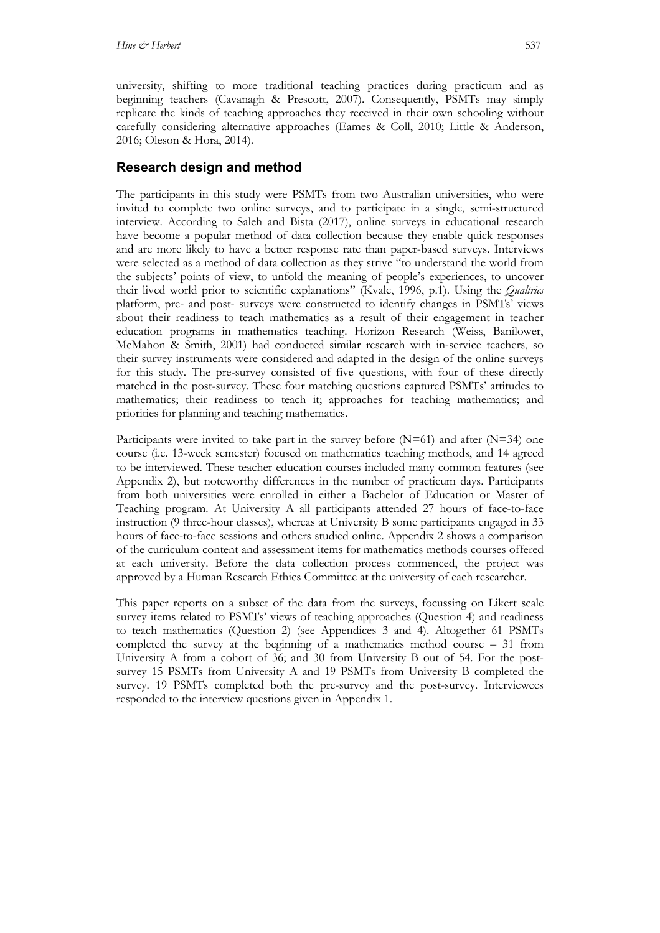university, shifting to more traditional teaching practices during practicum and as beginning teachers (Cavanagh & Prescott, 2007). Consequently, PSMTs may simply replicate the kinds of teaching approaches they received in their own schooling without carefully considering alternative approaches (Eames & Coll, 2010; Little & Anderson, 2016; Oleson & Hora, 2014).

## **Research design and method**

The participants in this study were PSMTs from two Australian universities, who were invited to complete two online surveys, and to participate in a single, semi-structured interview. According to Saleh and Bista (2017), online surveys in educational research have become a popular method of data collection because they enable quick responses and are more likely to have a better response rate than paper-based surveys. Interviews were selected as a method of data collection as they strive "to understand the world from the subjects' points of view, to unfold the meaning of people's experiences, to uncover their lived world prior to scientific explanations" (Kvale, 1996, p.1). Using the *Qualtrics* platform, pre- and post- surveys were constructed to identify changes in PSMTs' views about their readiness to teach mathematics as a result of their engagement in teacher education programs in mathematics teaching. Horizon Research (Weiss, Banilower, McMahon & Smith, 2001) had conducted similar research with in-service teachers, so their survey instruments were considered and adapted in the design of the online surveys for this study. The pre-survey consisted of five questions, with four of these directly matched in the post-survey. These four matching questions captured PSMTs' attitudes to mathematics; their readiness to teach it; approaches for teaching mathematics; and priorities for planning and teaching mathematics.

Participants were invited to take part in the survey before  $(N=61)$  and after  $(N=34)$  one course (i.e. 13-week semester) focused on mathematics teaching methods, and 14 agreed to be interviewed. These teacher education courses included many common features (see Appendix 2), but noteworthy differences in the number of practicum days. Participants from both universities were enrolled in either a Bachelor of Education or Master of Teaching program. At University A all participants attended 27 hours of face-to-face instruction (9 three-hour classes), whereas at University B some participants engaged in 33 hours of face-to-face sessions and others studied online. Appendix 2 shows a comparison of the curriculum content and assessment items for mathematics methods courses offered at each university. Before the data collection process commenced, the project was approved by a Human Research Ethics Committee at the university of each researcher.

This paper reports on a subset of the data from the surveys, focussing on Likert scale survey items related to PSMTs' views of teaching approaches (Question 4) and readiness to teach mathematics (Question 2) (see Appendices 3 and 4). Altogether 61 PSMTs completed the survey at the beginning of a mathematics method course – 31 from University A from a cohort of 36; and 30 from University B out of 54. For the postsurvey 15 PSMTs from University A and 19 PSMTs from University B completed the survey. 19 PSMTs completed both the pre-survey and the post-survey. Interviewees responded to the interview questions given in Appendix 1.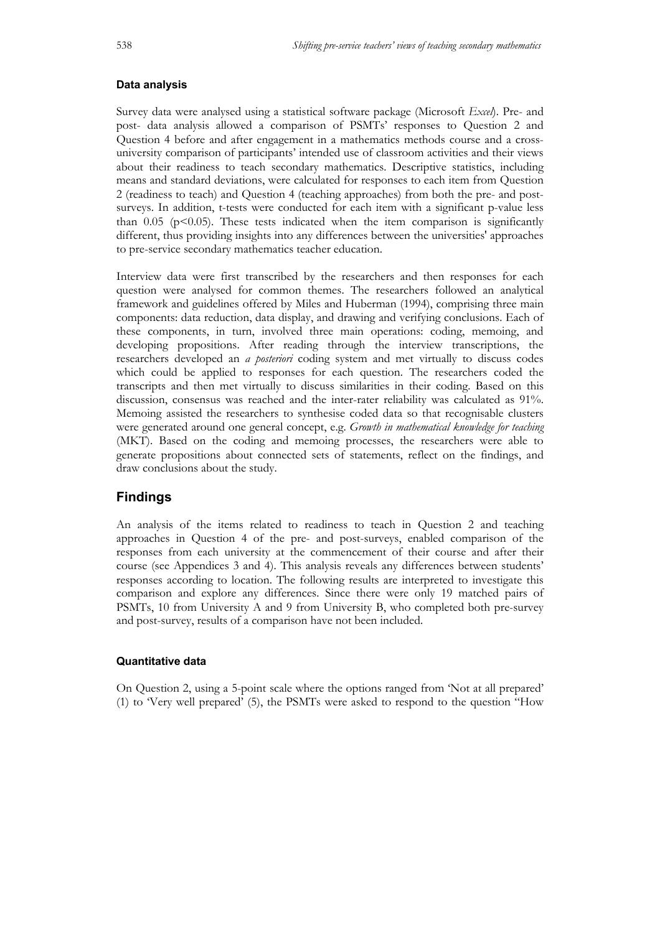#### **Data analysis**

Survey data were analysed using a statistical software package (Microsoft *Excel*). Pre- and post- data analysis allowed a comparison of PSMTs' responses to Question 2 and Question 4 before and after engagement in a mathematics methods course and a crossuniversity comparison of participants' intended use of classroom activities and their views about their readiness to teach secondary mathematics. Descriptive statistics, including means and standard deviations, were calculated for responses to each item from Question 2 (readiness to teach) and Question 4 (teaching approaches) from both the pre- and postsurveys. In addition, t-tests were conducted for each item with a significant p-value less than 0.05 ( $p<0.05$ ). These tests indicated when the item comparison is significantly different, thus providing insights into any differences between the universities' approaches to pre-service secondary mathematics teacher education.

Interview data were first transcribed by the researchers and then responses for each question were analysed for common themes. The researchers followed an analytical framework and guidelines offered by Miles and Huberman (1994), comprising three main components: data reduction, data display, and drawing and verifying conclusions. Each of these components, in turn, involved three main operations: coding, memoing, and developing propositions. After reading through the interview transcriptions, the researchers developed an *a posteriori* coding system and met virtually to discuss codes which could be applied to responses for each question. The researchers coded the transcripts and then met virtually to discuss similarities in their coding. Based on this discussion, consensus was reached and the inter-rater reliability was calculated as 91%. Memoing assisted the researchers to synthesise coded data so that recognisable clusters were generated around one general concept, e.g. *Growth in mathematical knowledge for teaching*  (MKT). Based on the coding and memoing processes, the researchers were able to generate propositions about connected sets of statements, reflect on the findings, and draw conclusions about the study.

## **Findings**

An analysis of the items related to readiness to teach in Question 2 and teaching approaches in Question 4 of the pre- and post-surveys, enabled comparison of the responses from each university at the commencement of their course and after their course (see Appendices 3 and 4). This analysis reveals any differences between students' responses according to location. The following results are interpreted to investigate this comparison and explore any differences. Since there were only 19 matched pairs of PSMTs, 10 from University A and 9 from University B, who completed both pre-survey and post-survey, results of a comparison have not been included.

#### **Quantitative data**

On Question 2, using a 5-point scale where the options ranged from 'Not at all prepared' (1) to 'Very well prepared' (5), the PSMTs were asked to respond to the question "How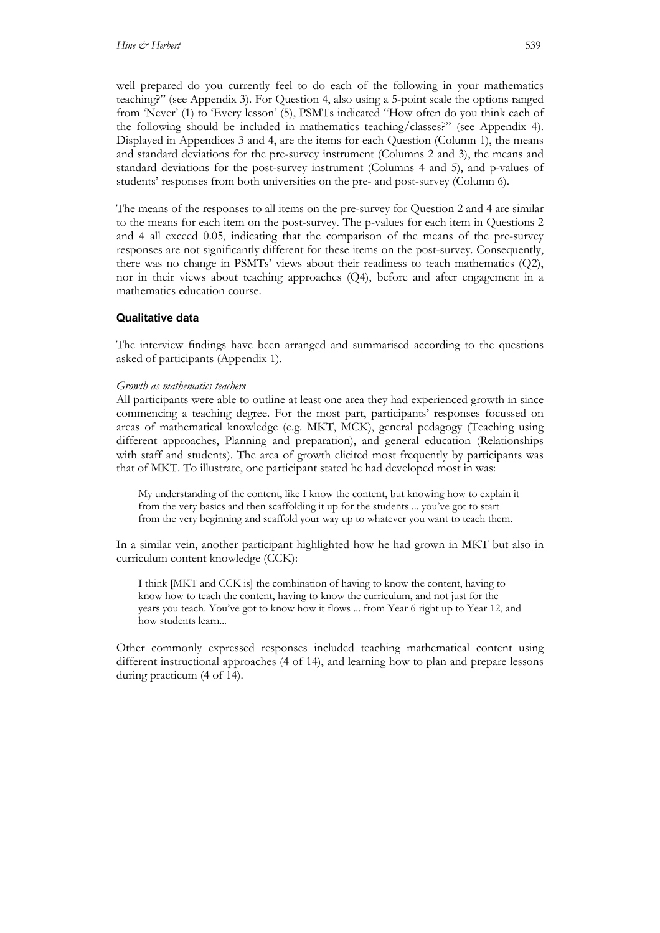well prepared do you currently feel to do each of the following in your mathematics teaching?" (see Appendix 3). For Question 4, also using a 5-point scale the options ranged from 'Never' (1) to 'Every lesson' (5), PSMTs indicated "How often do you think each of the following should be included in mathematics teaching/classes?" (see Appendix 4). Displayed in Appendices 3 and 4, are the items for each Question (Column 1), the means and standard deviations for the pre-survey instrument (Columns 2 and 3), the means and standard deviations for the post-survey instrument (Columns 4 and 5), and p-values of students' responses from both universities on the pre- and post-survey (Column 6).

The means of the responses to all items on the pre-survey for Question 2 and 4 are similar to the means for each item on the post-survey. The p-values for each item in Questions 2 and 4 all exceed 0.05, indicating that the comparison of the means of the pre-survey responses are not significantly different for these items on the post-survey. Consequently, there was no change in PSMTs' views about their readiness to teach mathematics (Q2), nor in their views about teaching approaches (Q4), before and after engagement in a mathematics education course.

#### **Qualitative data**

The interview findings have been arranged and summarised according to the questions asked of participants (Appendix 1).

#### *Growth as mathematics teachers*

All participants were able to outline at least one area they had experienced growth in since commencing a teaching degree. For the most part, participants' responses focussed on areas of mathematical knowledge (e.g. MKT, MCK), general pedagogy (Teaching using different approaches, Planning and preparation), and general education (Relationships with staff and students). The area of growth elicited most frequently by participants was that of MKT. To illustrate, one participant stated he had developed most in was:

My understanding of the content, like I know the content, but knowing how to explain it from the very basics and then scaffolding it up for the students ... you've got to start from the very beginning and scaffold your way up to whatever you want to teach them.

In a similar vein, another participant highlighted how he had grown in MKT but also in curriculum content knowledge (CCK):

I think [MKT and CCK is] the combination of having to know the content, having to know how to teach the content, having to know the curriculum, and not just for the years you teach. You've got to know how it flows ... from Year 6 right up to Year 12, and how students learn...

Other commonly expressed responses included teaching mathematical content using different instructional approaches (4 of 14), and learning how to plan and prepare lessons during practicum (4 of 14).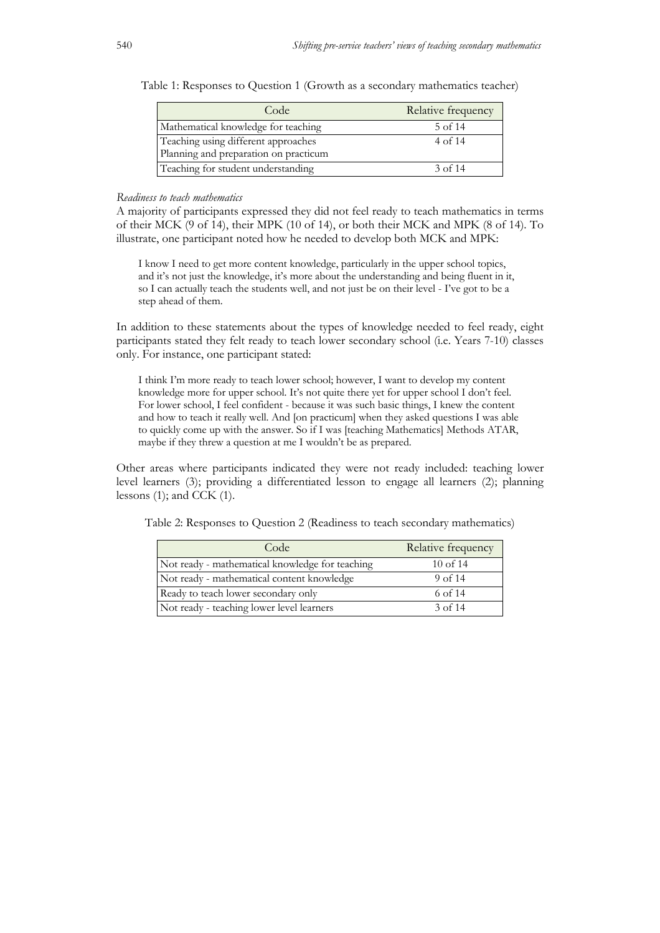| Code                                                                         | Relative frequency |
|------------------------------------------------------------------------------|--------------------|
| Mathematical knowledge for teaching                                          | 5 of 14            |
| Teaching using different approaches<br>Planning and preparation on practicum | 4 of 14            |
| Teaching for student understanding                                           | 3 of 14            |

Table 1: Responses to Question 1 (Growth as a secondary mathematics teacher)

#### *Readiness to teach mathematics*

A majority of participants expressed they did not feel ready to teach mathematics in terms of their MCK (9 of 14), their MPK (10 of 14), or both their MCK and MPK (8 of 14). To illustrate, one participant noted how he needed to develop both MCK and MPK:

I know I need to get more content knowledge, particularly in the upper school topics, and it's not just the knowledge, it's more about the understanding and being fluent in it, so I can actually teach the students well, and not just be on their level - I've got to be a step ahead of them.

In addition to these statements about the types of knowledge needed to feel ready, eight participants stated they felt ready to teach lower secondary school (i.e. Years 7-10) classes only. For instance, one participant stated:

I think I'm more ready to teach lower school; however, I want to develop my content knowledge more for upper school. It's not quite there yet for upper school I don't feel. For lower school, I feel confident - because it was such basic things, I knew the content and how to teach it really well. And [on practicum] when they asked questions I was able to quickly come up with the answer. So if I was [teaching Mathematics] Methods ATAR, maybe if they threw a question at me I wouldn't be as prepared.

Other areas where participants indicated they were not ready included: teaching lower level learners (3); providing a differentiated lesson to engage all learners (2); planning lessons  $(1)$ ; and CCK  $(1)$ .

Table 2: Responses to Question 2 (Readiness to teach secondary mathematics)

| Code                                            | Relative frequency |
|-------------------------------------------------|--------------------|
| Not ready - mathematical knowledge for teaching | $10$ of $14$       |
| Not ready - mathematical content knowledge      | $9$ of 14          |
| Ready to teach lower secondary only             | 6 of 14            |
| Not ready - teaching lower level learners       | $3$ of 14          |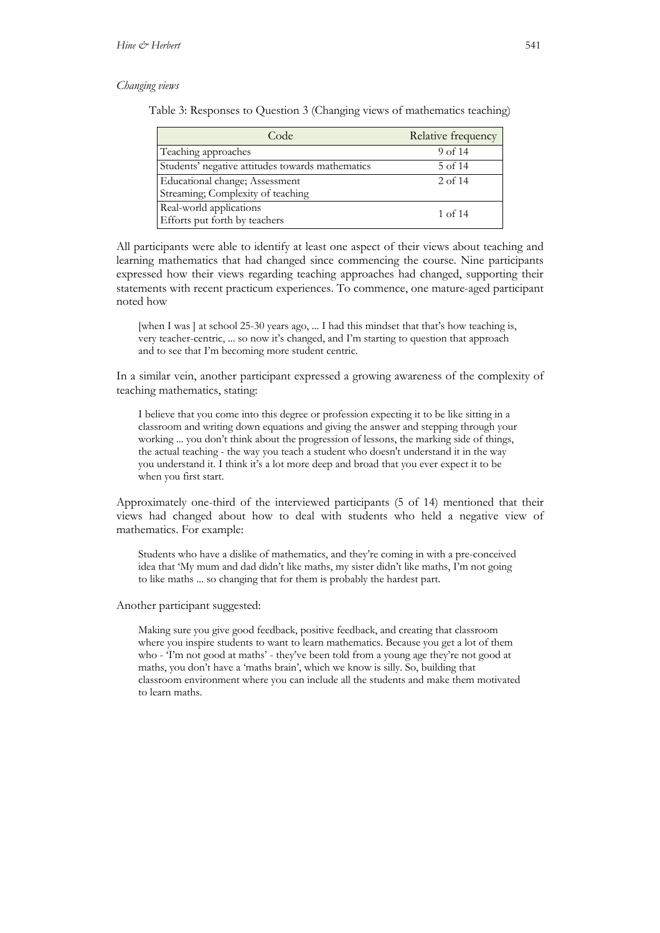#### *Changing views*

Table 3: Responses to Question 3 (Changing views of mathematics teaching)

| Code                                             | Relative frequency |
|--------------------------------------------------|--------------------|
| Teaching approaches                              | $9$ of 14          |
| Students' negative attitudes towards mathematics | $5$ of 14          |
| Educational change; Assessment                   | $2$ of 14          |
| Streaming; Complexity of teaching                |                    |
| Real-world applications                          | $1$ of 14          |
| Efforts put forth by teachers                    |                    |

All participants were able to identify at least one aspect of their views about teaching and learning mathematics that had changed since commencing the course. Nine participants expressed how their views regarding teaching approaches had changed, supporting their statements with recent practicum experiences. To commence, one mature-aged participant noted how

[when I was ] at school 25-30 years ago, ... I had this mindset that that's how teaching is, very teacher-centric, ... so now it's changed, and I'm starting to question that approach and to see that I'm becoming more student centric.

In a similar vein, another participant expressed a growing awareness of the complexity of teaching mathematics, stating:

I believe that you come into this degree or profession expecting it to be like sitting in a classroom and writing down equations and giving the answer and stepping through your working ... you don't think about the progression of lessons, the marking side of things, the actual teaching - the way you teach a student who doesn't understand it in the way you understand it. I think it's a lot more deep and broad that you ever expect it to be when you first start.

Approximately one-third of the interviewed participants (5 of 14) mentioned that their views had changed about how to deal with students who held a negative view of mathematics. For example:

Students who have a dislike of mathematics, and they're coming in with a pre-conceived idea that 'My mum and dad didn't like maths, my sister didn't like maths, I'm not going to like maths ... so changing that for them is probably the hardest part.

Another participant suggested:

Making sure you give good feedback, positive feedback, and creating that classroom where you inspire students to want to learn mathematics. Because you get a lot of them who - T'm not good at maths' - they've been told from a young age they're not good at maths, you don't have a 'maths brain', which we know is silly. So, building that classroom environment where you can include all the students and make them motivated to learn maths.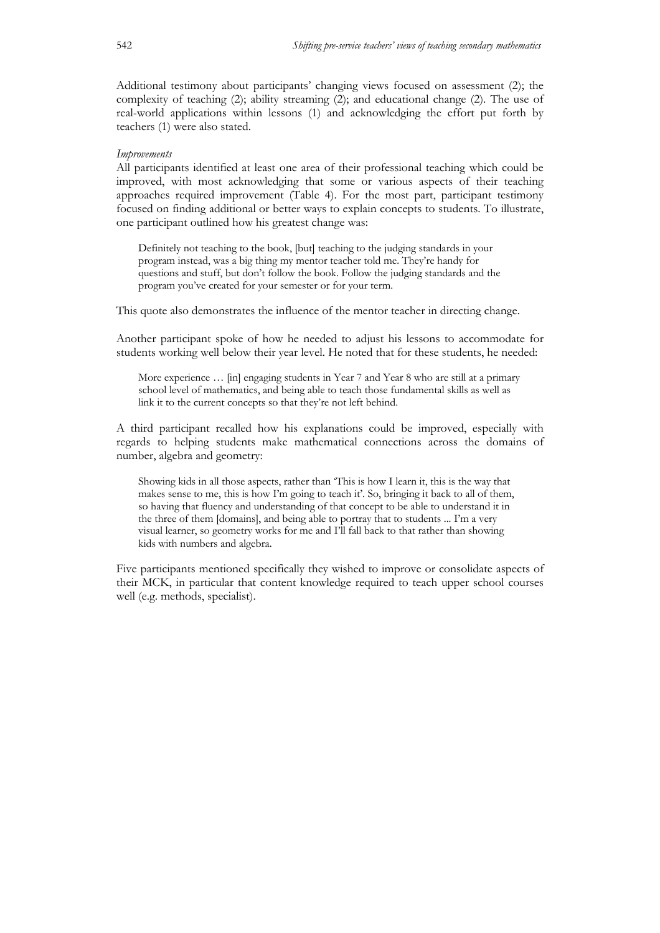Additional testimony about participants' changing views focused on assessment (2); the complexity of teaching (2); ability streaming (2); and educational change (2). The use of real-world applications within lessons (1) and acknowledging the effort put forth by teachers (1) were also stated.

#### *Improvements*

All participants identified at least one area of their professional teaching which could be improved, with most acknowledging that some or various aspects of their teaching approaches required improvement (Table 4). For the most part, participant testimony focused on finding additional or better ways to explain concepts to students. To illustrate, one participant outlined how his greatest change was:

Definitely not teaching to the book, [but] teaching to the judging standards in your program instead, was a big thing my mentor teacher told me. They're handy for questions and stuff, but don't follow the book. Follow the judging standards and the program you've created for your semester or for your term.

This quote also demonstrates the influence of the mentor teacher in directing change.

Another participant spoke of how he needed to adjust his lessons to accommodate for students working well below their year level. He noted that for these students, he needed:

More experience … [in] engaging students in Year 7 and Year 8 who are still at a primary school level of mathematics, and being able to teach those fundamental skills as well as link it to the current concepts so that they're not left behind.

A third participant recalled how his explanations could be improved, especially with regards to helping students make mathematical connections across the domains of number, algebra and geometry:

Showing kids in all those aspects, rather than 'This is how I learn it, this is the way that makes sense to me, this is how I'm going to teach it'. So, bringing it back to all of them, so having that fluency and understanding of that concept to be able to understand it in the three of them [domains], and being able to portray that to students ... I'm a very visual learner, so geometry works for me and I'll fall back to that rather than showing kids with numbers and algebra.

Five participants mentioned specifically they wished to improve or consolidate aspects of their MCK, in particular that content knowledge required to teach upper school courses well (e.g. methods, specialist).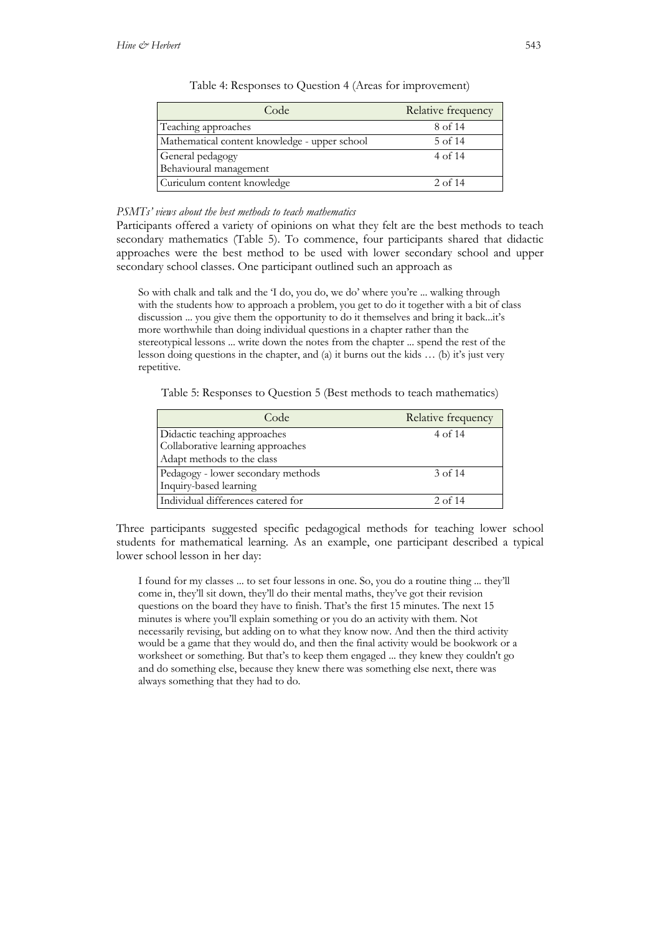| Code                                          | Relative frequency |
|-----------------------------------------------|--------------------|
| Teaching approaches                           | 8 of 14            |
| Mathematical content knowledge - upper school | 5 of 14            |
| General pedagogy                              | 4 of 14            |
| Behavioural management                        |                    |
| Curiculum content knowledge                   | $2$ of 14          |

Table 4: Responses to Question 4 (Areas for improvement)

## *PSMTs' views about the best methods to teach mathematics*

Participants offered a variety of opinions on what they felt are the best methods to teach secondary mathematics (Table 5). To commence, four participants shared that didactic approaches were the best method to be used with lower secondary school and upper secondary school classes. One participant outlined such an approach as

So with chalk and talk and the 'I do, you do, we do' where you're ... walking through with the students how to approach a problem, you get to do it together with a bit of class discussion ... you give them the opportunity to do it themselves and bring it back...it's more worthwhile than doing individual questions in a chapter rather than the stereotypical lessons ... write down the notes from the chapter ... spend the rest of the lesson doing questions in the chapter, and (a) it burns out the kids … (b) it's just very repetitive.

Table 5: Responses to Question 5 (Best methods to teach mathematics)

| Code                               | Relative frequency |
|------------------------------------|--------------------|
| Didactic teaching approaches       | 4 of 14            |
| Collaborative learning approaches  |                    |
| Adapt methods to the class         |                    |
| Pedagogy - lower secondary methods | 3 of 14            |
| Inquiry-based learning             |                    |
| Individual differences catered for | 2 of $14$          |

Three participants suggested specific pedagogical methods for teaching lower school students for mathematical learning. As an example, one participant described a typical lower school lesson in her day:

I found for my classes ... to set four lessons in one. So, you do a routine thing ... they'll come in, they'll sit down, they'll do their mental maths, they've got their revision questions on the board they have to finish. That's the first 15 minutes. The next 15 minutes is where you'll explain something or you do an activity with them. Not necessarily revising, but adding on to what they know now. And then the third activity would be a game that they would do, and then the final activity would be bookwork or a worksheet or something. But that's to keep them engaged ... they knew they couldn't go and do something else, because they knew there was something else next, there was always something that they had to do.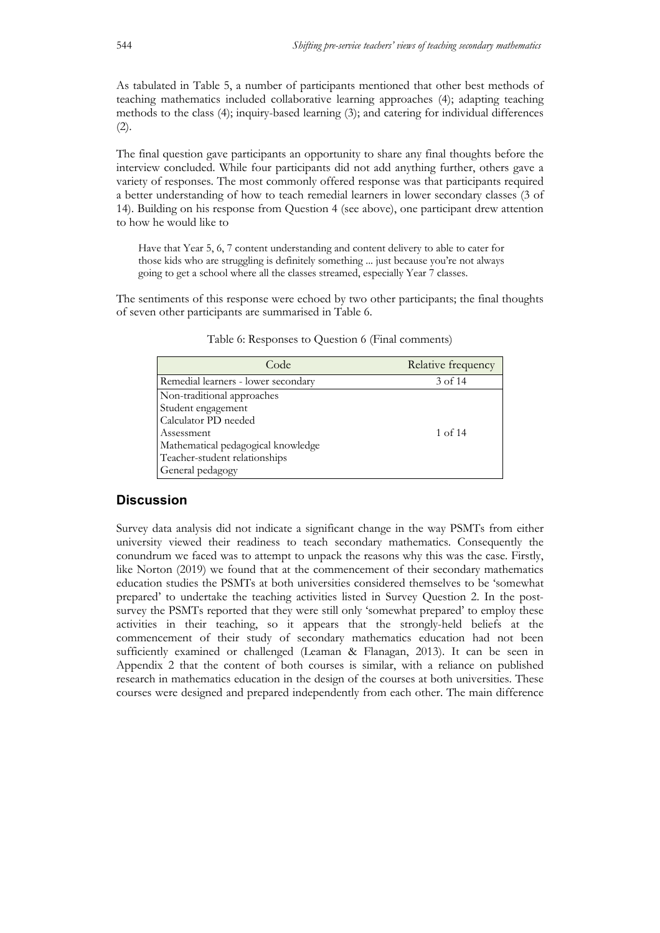As tabulated in Table 5, a number of participants mentioned that other best methods of teaching mathematics included collaborative learning approaches (4); adapting teaching methods to the class (4); inquiry-based learning (3); and catering for individual differences  $(2).$ 

The final question gave participants an opportunity to share any final thoughts before the interview concluded. While four participants did not add anything further, others gave a variety of responses. The most commonly offered response was that participants required a better understanding of how to teach remedial learners in lower secondary classes (3 of 14). Building on his response from Question 4 (see above), one participant drew attention to how he would like to

Have that Year 5, 6, 7 content understanding and content delivery to able to cater for those kids who are struggling is definitely something ... just because you're not always going to get a school where all the classes streamed, especially Year 7 classes.

The sentiments of this response were echoed by two other participants; the final thoughts of seven other participants are summarised in Table 6.

| Code                                | Relative frequency |
|-------------------------------------|--------------------|
| Remedial learners - lower secondary | 3 of 14            |
| Non-traditional approaches          |                    |
| Student engagement                  |                    |
| Calculator PD needed                |                    |
| Assessment                          | 1 of 14            |
| Mathematical pedagogical knowledge  |                    |
| Teacher-student relationships       |                    |
| General pedagogy                    |                    |

Table 6: Responses to Question 6 (Final comments)

## **Discussion**

Survey data analysis did not indicate a significant change in the way PSMTs from either university viewed their readiness to teach secondary mathematics. Consequently the conundrum we faced was to attempt to unpack the reasons why this was the case. Firstly, like Norton (2019) we found that at the commencement of their secondary mathematics education studies the PSMTs at both universities considered themselves to be 'somewhat prepared' to undertake the teaching activities listed in Survey Question 2. In the postsurvey the PSMTs reported that they were still only 'somewhat prepared' to employ these activities in their teaching, so it appears that the strongly-held beliefs at the commencement of their study of secondary mathematics education had not been sufficiently examined or challenged (Leaman & Flanagan, 2013). It can be seen in Appendix 2 that the content of both courses is similar, with a reliance on published research in mathematics education in the design of the courses at both universities. These courses were designed and prepared independently from each other. The main difference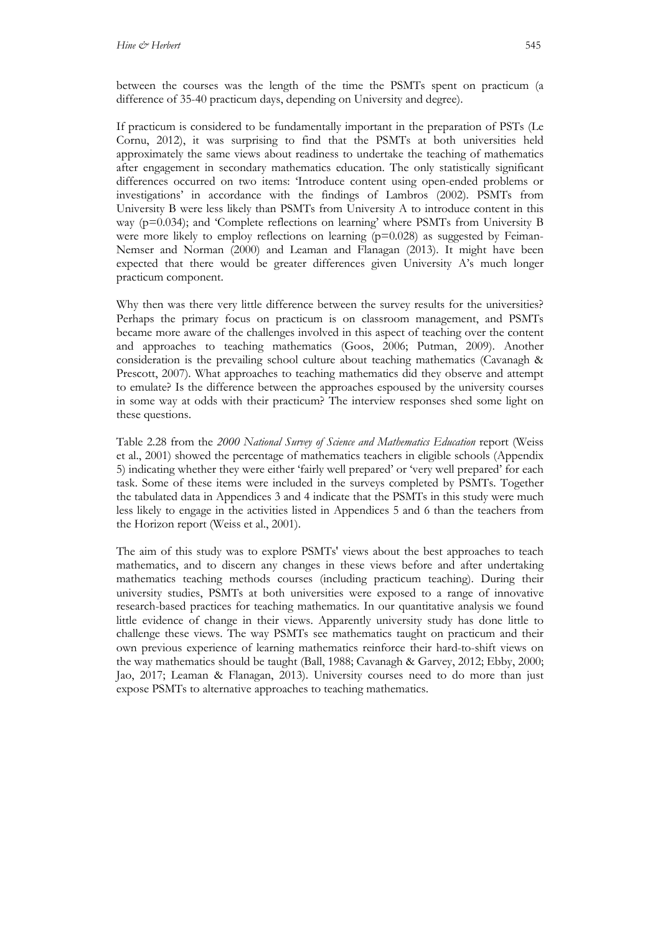between the courses was the length of the time the PSMTs spent on practicum (a difference of 35-40 practicum days, depending on University and degree).

If practicum is considered to be fundamentally important in the preparation of PSTs (Le Cornu, 2012), it was surprising to find that the PSMTs at both universities held approximately the same views about readiness to undertake the teaching of mathematics after engagement in secondary mathematics education. The only statistically significant differences occurred on two items: 'Introduce content using open-ended problems or investigations' in accordance with the findings of Lambros (2002). PSMTs from University B were less likely than PSMTs from University A to introduce content in this way (p=0.034); and 'Complete reflections on learning' where PSMTs from University B were more likely to employ reflections on learning  $(p=0.028)$  as suggested by Feiman-Nemser and Norman (2000) and Leaman and Flanagan (2013). It might have been expected that there would be greater differences given University A's much longer practicum component.

Why then was there very little difference between the survey results for the universities? Perhaps the primary focus on practicum is on classroom management, and PSMTs became more aware of the challenges involved in this aspect of teaching over the content and approaches to teaching mathematics (Goos, 2006; Putman, 2009). Another consideration is the prevailing school culture about teaching mathematics (Cavanagh & Prescott, 2007). What approaches to teaching mathematics did they observe and attempt to emulate? Is the difference between the approaches espoused by the university courses in some way at odds with their practicum? The interview responses shed some light on these questions.

Table 2.28 from the *2000 National Survey of Science and Mathematics Education* report (Weiss et al., 2001) showed the percentage of mathematics teachers in eligible schools (Appendix 5) indicating whether they were either 'fairly well prepared' or 'very well prepared' for each task. Some of these items were included in the surveys completed by PSMTs. Together the tabulated data in Appendices 3 and 4 indicate that the PSMTs in this study were much less likely to engage in the activities listed in Appendices 5 and 6 than the teachers from the Horizon report (Weiss et al., 2001).

The aim of this study was to explore PSMTs' views about the best approaches to teach mathematics, and to discern any changes in these views before and after undertaking mathematics teaching methods courses (including practicum teaching). During their university studies, PSMTs at both universities were exposed to a range of innovative research-based practices for teaching mathematics. In our quantitative analysis we found little evidence of change in their views. Apparently university study has done little to challenge these views. The way PSMTs see mathematics taught on practicum and their own previous experience of learning mathematics reinforce their hard-to-shift views on the way mathematics should be taught (Ball, 1988; Cavanagh & Garvey, 2012; Ebby, 2000; Jao, 2017; Leaman & Flanagan, 2013). University courses need to do more than just expose PSMTs to alternative approaches to teaching mathematics.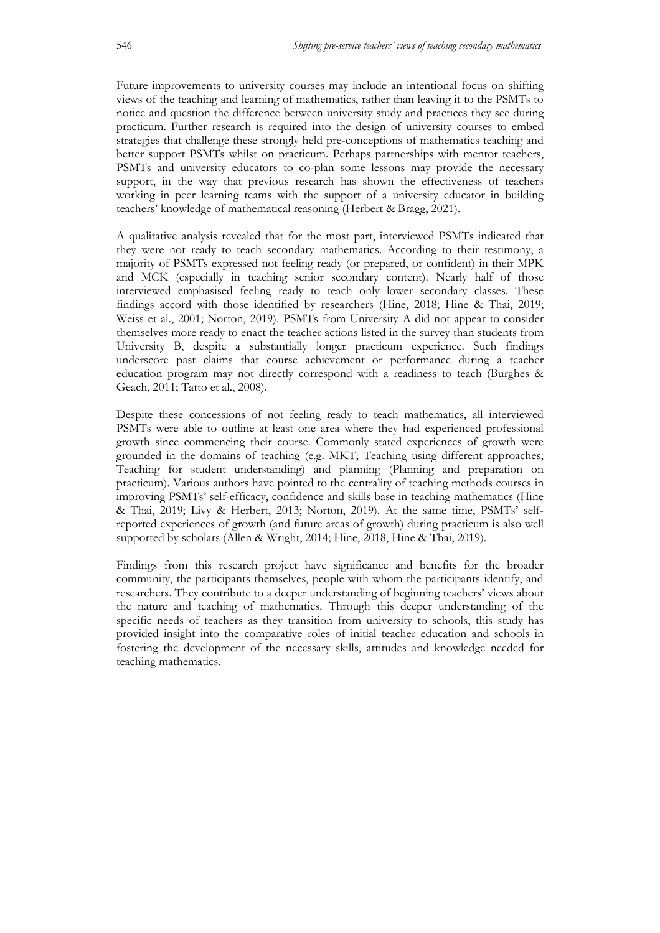Future improvements to university courses may include an intentional focus on shifting views of the teaching and learning of mathematics, rather than leaving it to the PSMTs to notice and question the difference between university study and practices they see during practicum. Further research is required into the design of university courses to embed strategies that challenge these strongly held pre-conceptions of mathematics teaching and better support PSMTs whilst on practicum. Perhaps partnerships with mentor teachers, PSMTs and university educators to co-plan some lessons may provide the necessary support, in the way that previous research has shown the effectiveness of teachers working in peer learning teams with the support of a university educator in building teachers' knowledge of mathematical reasoning (Herbert & Bragg, 2021).

A qualitative analysis revealed that for the most part, interviewed PSMTs indicated that they were not ready to teach secondary mathematics. According to their testimony, a majority of PSMTs expressed not feeling ready (or prepared, or confident) in their MPK and MCK (especially in teaching senior secondary content). Nearly half of those interviewed emphasised feeling ready to teach only lower secondary classes. These findings accord with those identified by researchers (Hine, 2018; Hine & Thai, 2019; Weiss et al., 2001; Norton, 2019). PSMTs from University A did not appear to consider themselves more ready to enact the teacher actions listed in the survey than students from University B, despite a substantially longer practicum experience. Such findings underscore past claims that course achievement or performance during a teacher education program may not directly correspond with a readiness to teach (Burghes & Geach, 2011; Tatto et al., 2008).

Despite these concessions of not feeling ready to teach mathematics, all interviewed PSMTs were able to outline at least one area where they had experienced professional growth since commencing their course. Commonly stated experiences of growth were grounded in the domains of teaching (e.g. MKT; Teaching using different approaches; Teaching for student understanding) and planning (Planning and preparation on practicum). Various authors have pointed to the centrality of teaching methods courses in improving PSMTs' self-efficacy, confidence and skills base in teaching mathematics (Hine & Thai, 2019; Livy & Herbert, 2013; Norton, 2019). At the same time, PSMTs' selfreported experiences of growth (and future areas of growth) during practicum is also well supported by scholars (Allen & Wright, 2014; Hine, 2018, Hine & Thai, 2019).

Findings from this research project have significance and benefits for the broader community, the participants themselves, people with whom the participants identify, and researchers. They contribute to a deeper understanding of beginning teachers' views about the nature and teaching of mathematics. Through this deeper understanding of the specific needs of teachers as they transition from university to schools, this study has provided insight into the comparative roles of initial teacher education and schools in fostering the development of the necessary skills, attitudes and knowledge needed for teaching mathematics.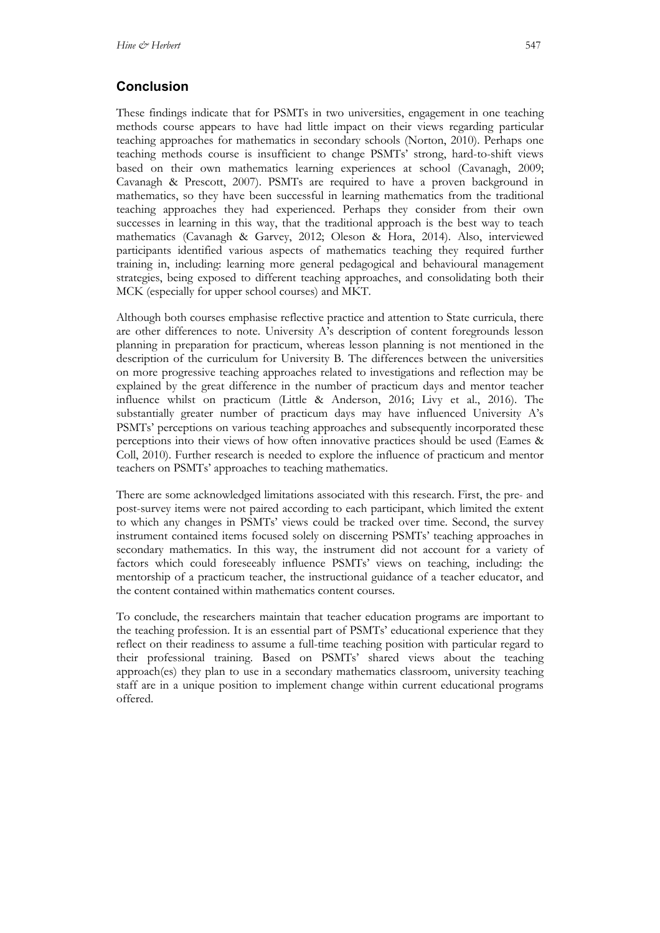## **Conclusion**

These findings indicate that for PSMTs in two universities, engagement in one teaching methods course appears to have had little impact on their views regarding particular teaching approaches for mathematics in secondary schools (Norton, 2010). Perhaps one teaching methods course is insufficient to change PSMTs' strong, hard-to-shift views based on their own mathematics learning experiences at school (Cavanagh, 2009; Cavanagh & Prescott, 2007). PSMTs are required to have a proven background in mathematics, so they have been successful in learning mathematics from the traditional teaching approaches they had experienced. Perhaps they consider from their own successes in learning in this way, that the traditional approach is the best way to teach mathematics (Cavanagh & Garvey, 2012; Oleson & Hora, 2014). Also, interviewed participants identified various aspects of mathematics teaching they required further training in, including: learning more general pedagogical and behavioural management strategies, being exposed to different teaching approaches, and consolidating both their MCK (especially for upper school courses) and MKT.

Although both courses emphasise reflective practice and attention to State curricula, there are other differences to note. University A's description of content foregrounds lesson planning in preparation for practicum, whereas lesson planning is not mentioned in the description of the curriculum for University B. The differences between the universities on more progressive teaching approaches related to investigations and reflection may be explained by the great difference in the number of practicum days and mentor teacher influence whilst on practicum (Little & Anderson, 2016; Livy et al., 2016). The substantially greater number of practicum days may have influenced University A's PSMTs' perceptions on various teaching approaches and subsequently incorporated these perceptions into their views of how often innovative practices should be used (Eames & Coll, 2010). Further research is needed to explore the influence of practicum and mentor teachers on PSMTs' approaches to teaching mathematics.

There are some acknowledged limitations associated with this research. First, the pre- and post-survey items were not paired according to each participant, which limited the extent to which any changes in PSMTs' views could be tracked over time. Second, the survey instrument contained items focused solely on discerning PSMTs' teaching approaches in secondary mathematics. In this way, the instrument did not account for a variety of factors which could foreseeably influence PSMTs' views on teaching, including: the mentorship of a practicum teacher, the instructional guidance of a teacher educator, and the content contained within mathematics content courses.

To conclude, the researchers maintain that teacher education programs are important to the teaching profession. It is an essential part of PSMTs' educational experience that they reflect on their readiness to assume a full-time teaching position with particular regard to their professional training. Based on PSMTs' shared views about the teaching approach(es) they plan to use in a secondary mathematics classroom, university teaching staff are in a unique position to implement change within current educational programs offered.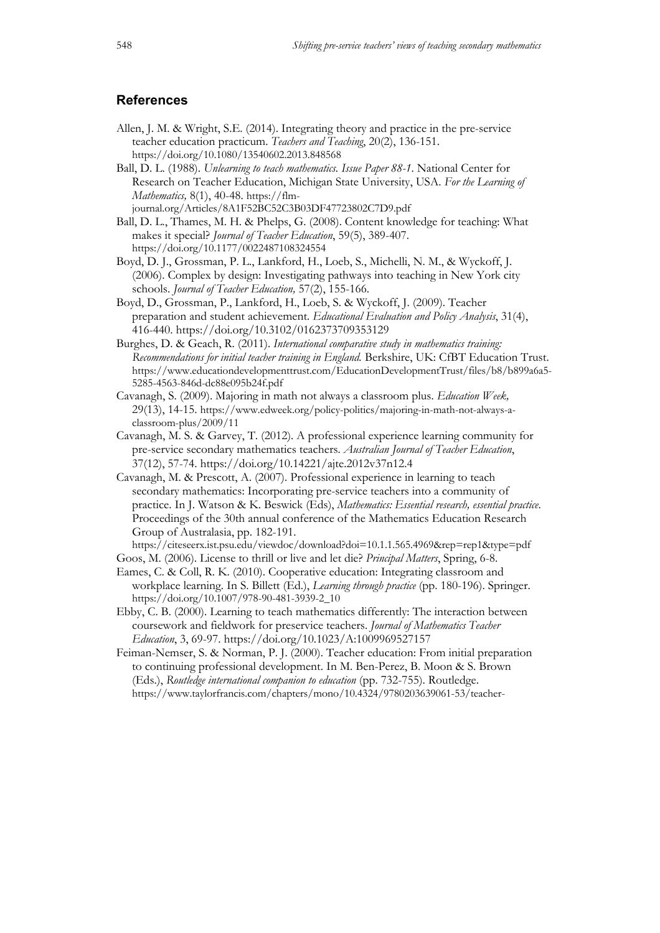### **References**

- Allen, J. M. & Wright, S.E. (2014). Integrating theory and practice in the pre-service teacher education practicum. *Teachers and Teaching*, 20(2), 136-151. https://doi.org/10.1080/13540602.2013.848568
- Ball, D. L. (1988). *Unlearning to teach mathematics. Issue Paper 88-1*. National Center for Research on Teacher Education, Michigan State University, USA. *For the Learning of Mathematics, 8(1), 40-48. https://flm*journal.org/Articles/8A1F52BC52C3B03DF47723802C7D9.pdf
- Ball, D. L., Thames, M. H. & Phelps, G. (2008). Content knowledge for teaching: What makes it special? *Journal of Teacher Education*, 59(5), 389-407. https://doi.org/10.1177/0022487108324554
- Boyd, D. J., Grossman, P. L., Lankford, H., Loeb, S., Michelli, N. M., & Wyckoff, J. (2006). Complex by design: Investigating pathways into teaching in New York city schools. *Journal of Teacher Education,* 57(2), 155-166.
- Boyd, D., Grossman, P., Lankford, H., Loeb, S. & Wyckoff, J. (2009). Teacher preparation and student achievement. *Educational Evaluation and Policy Analysis*, 31(4), 416-440. https://doi.org/10.3102/0162373709353129
- Burghes, D. & Geach, R. (2011). *International comparative study in mathematics training: Recommendations for initial teacher training in England.* Berkshire, UK: CfBT Education Trust. https://www.educationdevelopmenttrust.com/EducationDevelopmentTrust/files/b8/b899a6a5- 5285-4563-846d-dc88e095b24f.pdf
- Cavanagh, S. (2009). Majoring in math not always a classroom plus. *Education Week,*  29(13), 14-15. https://www.edweek.org/policy-politics/majoring-in-math-not-always-aclassroom-plus/2009/11
- Cavanagh, M. S. & Garvey, T. (2012). A professional experience learning community for pre-service secondary mathematics teachers. *Australian Journal of Teacher Education*, 37(12), 57-74. https://doi.org/10.14221/ajte.2012v37n12.4
- Cavanagh, M. & Prescott, A. (2007). Professional experience in learning to teach secondary mathematics: Incorporating pre-service teachers into a community of practice. In J. Watson & K. Beswick (Eds), *Mathematics: Essential research, essential practice*. Proceedings of the 30th annual conference of the Mathematics Education Research Group of Australasia, pp. 182-191.

https://citeseerx.ist.psu.edu/viewdoc/download?doi=10.1.1.565.4969&rep=rep1&type=pdf Goos, M. (2006). License to thrill or live and let die? *Principal Matters*, Spring, 6-8.

- Eames, C. & Coll, R. K. (2010). Cooperative education: Integrating classroom and workplace learning. In S. Billett (Ed.), *Learning through practice* (pp. 180-196). Springer. https://doi.org/10.1007/978-90-481-3939-2\_10
- Ebby, C. B. (2000). Learning to teach mathematics differently: The interaction between coursework and fieldwork for preservice teachers. *Journal of Mathematics Teacher Education*, 3, 69-97. https://doi.org/10.1023/A:1009969527157
- Feiman-Nemser, S. & Norman, P. J. (2000). Teacher education: From initial preparation to continuing professional development. In M. Ben-Perez, B. Moon & S. Brown (Eds.), *Routledge international companion to education* (pp. 732-755). Routledge. https://www.taylorfrancis.com/chapters/mono/10.4324/9780203639061-53/teacher-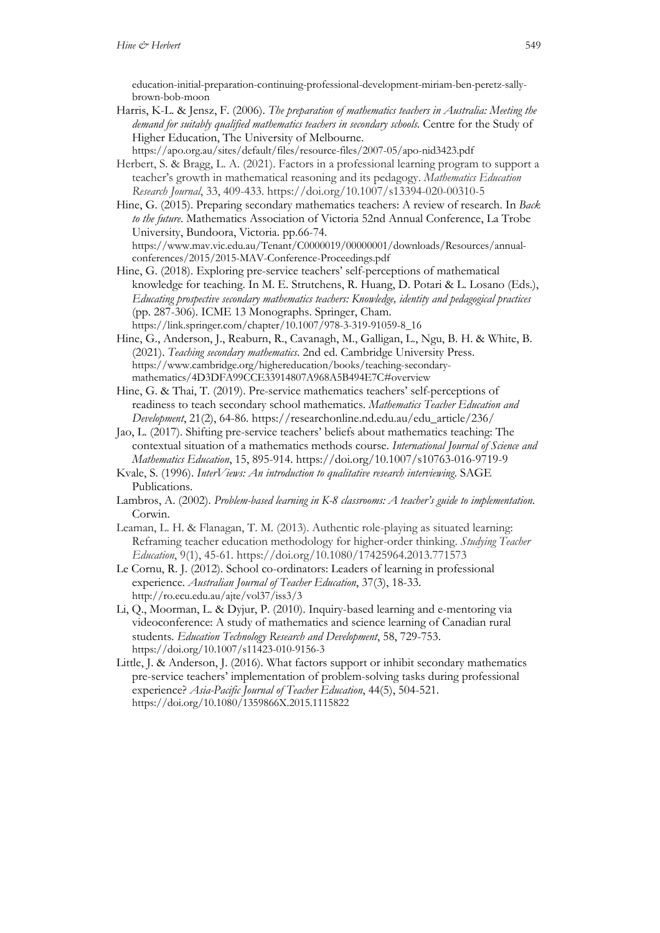education-initial-preparation-continuing-professional-development-miriam-ben-peretz-sallybrown-bob-moon

- Harris, K-L. & Jensz, F. (2006). *The preparation of mathematics teachers in Australia: Meeting the demand for suitably qualified mathematics teachers in secondary schools.* Centre for the Study of Higher Education, The University of Melbourne.
- https://apo.org.au/sites/default/files/resource-files/2007-05/apo-nid3423.pdf Herbert, S. & Bragg, L. A. (2021). Factors in a professional learning program to support a teacher's growth in mathematical reasoning and its pedagogy. *Mathematics Education Research Journal*, 33, 409-433. https://doi.org/10.1007/s13394-020-00310-5
- Hine, G. (2015). Preparing secondary mathematics teachers: A review of research. In *Back to the future*. Mathematics Association of Victoria 52nd Annual Conference, La Trobe University, Bundoora, Victoria. pp.66-74. https://www.mav.vic.edu.au/Tenant/C0000019/00000001/downloads/Resources/annualconferences/2015/2015-MAV-Conference-Proceedings.pdf
- Hine, G. (2018). Exploring pre-service teachers' self-perceptions of mathematical knowledge for teaching. In M. E. Strutchens, R. Huang, D. Potari & L. Losano (Eds.), *Educating prospective secondary mathematics teachers: Knowledge, identity and pedagogical practices* (pp. 287-306). ICME 13 Monographs. Springer, Cham. https://link.springer.com/chapter/10.1007/978-3-319-91059-8\_16
- Hine, G., Anderson, J., Reaburn, R., Cavanagh, M., Galligan, L., Ngu, B. H. & White, B. (2021). *Teaching secondary mathematics*. 2nd ed. Cambridge University Press. https://www.cambridge.org/highereducation/books/teaching-secondarymathematics/4D3DFA99CCE33914807A968A5B494E7C#overview
- Hine, G. & Thai, T. (2019). Pre-service mathematics teachers' self-perceptions of readiness to teach secondary school mathematics. *Mathematics Teacher Education and Development*, 21(2), 64-86. https://researchonline.nd.edu.au/edu\_article/236/
- Jao, L. (2017). Shifting pre-service teachers' beliefs about mathematics teaching: The contextual situation of a mathematics methods course. *International Journal of Science and Mathematics Education*, 15, 895-914. https://doi.org/10.1007/s10763-016-9719-9
- Kvale, S. (1996). *InterViews: An introduction to qualitative research interviewing*. SAGE Publications.
- Lambros, A. (2002). *Problem-based learning in K-8 classrooms: A teacher's guide to implementation*. Corwin.
- Leaman, L. H. & Flanagan, T. M. (2013). Authentic role-playing as situated learning: Reframing teacher education methodology for higher-order thinking. *Studying Teacher Education*, 9(1), 45-61. https://doi.org/10.1080/17425964.2013.771573
- Le Cornu, R. J. (2012). School co-ordinators: Leaders of learning in professional experience. *Australian Journal of Teacher Education*, 37(3), 18-33. http://ro.ecu.edu.au/ajte/vol37/iss3/3
- Li, Q., Moorman, L. & Dyjur, P. (2010). Inquiry-based learning and e-mentoring via videoconference: A study of mathematics and science learning of Canadian rural students. *Education Technology Research and Development*, 58, 729-753. https://doi.org/10.1007/s11423-010-9156-3
- Little, J. & Anderson, J. (2016). What factors support or inhibit secondary mathematics pre-service teachers' implementation of problem-solving tasks during professional experience? *Asia-Pacific Journal of Teacher Education*, 44(5), 504-521. https://doi.org/10.1080/1359866X.2015.1115822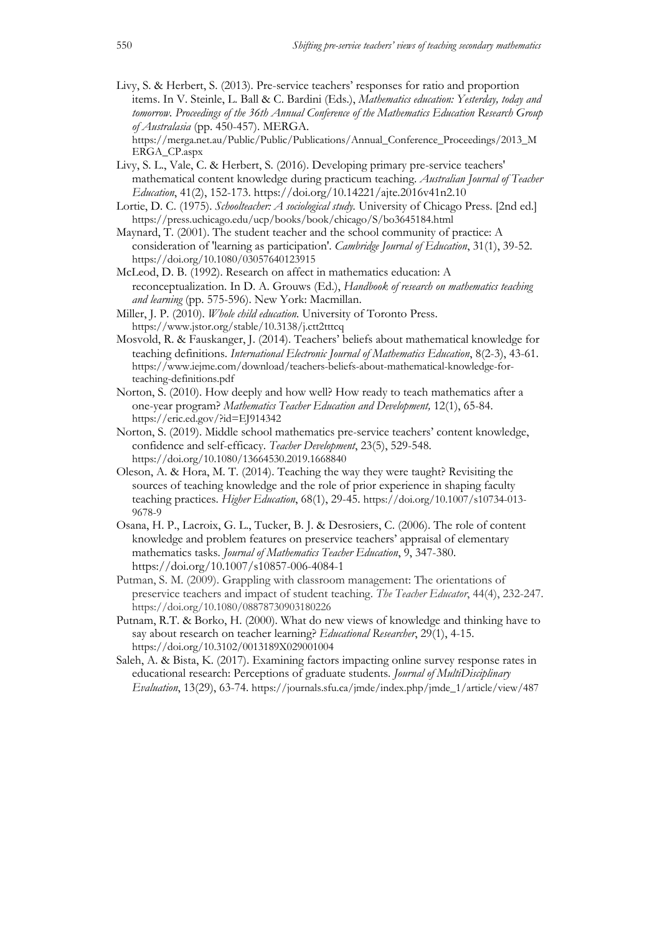Livy, S. & Herbert, S. (2013). Pre-service teachers' responses for ratio and proportion items. In V. Steinle, L. Ball & C. Bardini (Eds.), *Mathematics education: Yesterday, today and tomorrow. Proceedings of the 36th Annual Conference of the Mathematics Education Research Group of Australasia* (pp. 450-457). MERGA.

https://merga.net.au/Public/Public/Publications/Annual\_Conference\_Proceedings/2013\_M ERGA\_CP.aspx

- Livy, S. L., Vale, C. & Herbert, S. (2016). Developing primary pre-service teachers' mathematical content knowledge during practicum teaching. *Australian Journal of Teacher Education*, 41(2), 152-173. https://doi.org/10.14221/ajte.2016v41n2.10
- Lortie, D. C. (1975). *Schoolteacher: A sociological study.* University of Chicago Press. [2nd ed.] https://press.uchicago.edu/ucp/books/book/chicago/S/bo3645184.html
- Maynard, T. (2001). The student teacher and the school community of practice: A consideration of 'learning as participation'. *Cambridge Journal of Education*, 31(1), 39-52. https://doi.org/10.1080/03057640123915
- McLeod, D. B. (1992). Research on affect in mathematics education: A reconceptualization. In D. A. Grouws (Ed.), *Handbook of research on mathematics teaching and learning* (pp. 575-596). New York: Macmillan.
- Miller, J. P. (2010). *Whole child education.* University of Toronto Press. https://www.jstor.org/stable/10.3138/j.ctt2tttcq
- Mosvold, R. & Fauskanger, J. (2014). Teachers' beliefs about mathematical knowledge for teaching definitions. *International Electronic Journal of Mathematics Education*, 8(2-3), 43-61. https://www.iejme.com/download/teachers-beliefs-about-mathematical-knowledge-forteaching-definitions.pdf
- Norton, S. (2010). How deeply and how well? How ready to teach mathematics after a one-year program? *Mathematics Teacher Education and Development,* 12(1), 65-84. https://eric.ed.gov/?id=EJ914342
- Norton, S. (2019). Middle school mathematics pre-service teachers' content knowledge, confidence and self-efficacy. *Teacher Development*, 23(5), 529-548. https://doi.org/10.1080/13664530.2019.1668840
- Oleson, A. & Hora, M. T. (2014). Teaching the way they were taught? Revisiting the sources of teaching knowledge and the role of prior experience in shaping faculty teaching practices. *Higher Education*, 68(1), 29-45. https://doi.org/10.1007/s10734-013- 9678-9
- Osana, H. P., Lacroix, G. L., Tucker, B. J. & Desrosiers, C. (2006). The role of content knowledge and problem features on preservice teachers' appraisal of elementary mathematics tasks. *Journal of Mathematics Teacher Education*, 9, 347-380. https://doi.org/10.1007/s10857-006-4084-1
- Putman, S. M. (2009). Grappling with classroom management: The orientations of preservice teachers and impact of student teaching. *The Teacher Educator*, 44(4), 232-247. https://doi.org/10.1080/08878730903180226
- Putnam, R.T. & Borko, H. (2000). What do new views of knowledge and thinking have to say about research on teacher learning? *Educational Researcher*, 29(1), 4-15. https://doi.org/10.3102/0013189X029001004
- Saleh, A. & Bista, K. (2017). Examining factors impacting online survey response rates in educational research: Perceptions of graduate students. *Journal of MultiDisciplinary Evaluation*, 13(29), 63-74. https://journals.sfu.ca/jmde/index.php/jmde\_1/article/view/487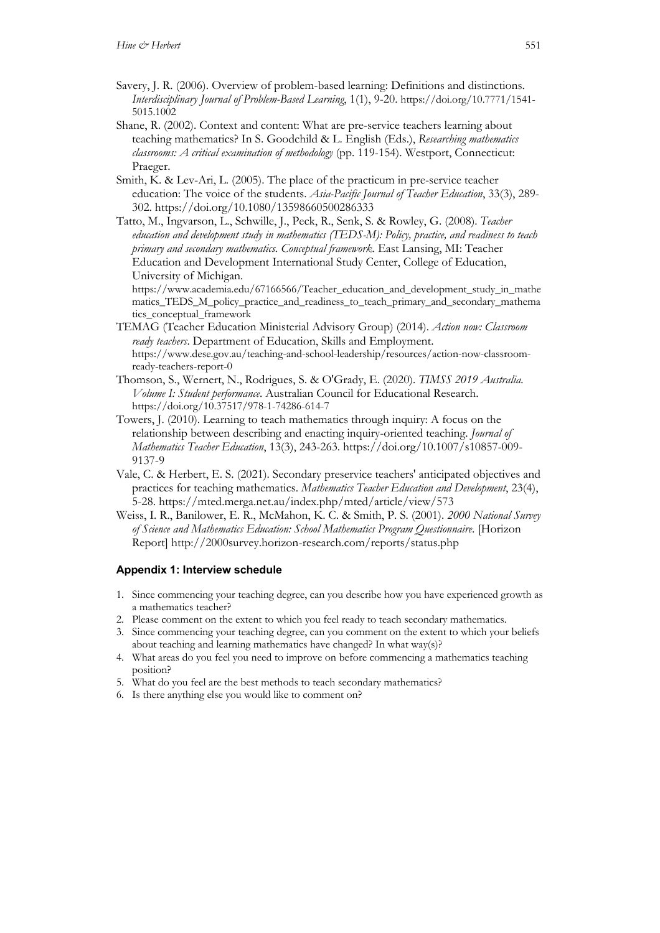- Savery, J. R. (2006). Overview of problem-based learning: Definitions and distinctions. *Interdisciplinary Journal of Problem-Based Learning*, 1(1), 9-20. https://doi.org/10.7771/1541- 5015.1002
- Shane, R. (2002). Context and content: What are pre-service teachers learning about teaching mathematics? In S. Goodchild & L. English (Eds.), *Researching mathematics classrooms: A critical examination of methodology* (pp. 119-154). Westport, Connecticut: Praeger.
- Smith, K. & Lev-Ari, L. (2005). The place of the practicum in pre-service teacher education: The voice of the students. *Asia-Pacific Journal of Teacher Education*, 33(3), 289- 302. https://doi.org/10.1080/13598660500286333
- Tatto, M., Ingvarson, L., Schwille, J., Peck, R., Senk, S. & Rowley, G. (2008). *Teacher education and development study in mathematics (TEDS-M): Policy, practice, and readiness to teach primary and secondary mathematics. Conceptual framework.* East Lansing, MI: Teacher Education and Development International Study Center, College of Education, University of Michigan.

https://www.academia.edu/67166566/Teacher\_education\_and\_development\_study\_in\_mathe matics\_TEDS\_M\_policy\_practice\_and\_readiness\_to\_teach\_primary\_and\_secondary\_mathema tics\_conceptual\_framework

- TEMAG (Teacher Education Ministerial Advisory Group) (2014). *Action now: Classroom ready teachers*. Department of Education, Skills and Employment. https://www.dese.gov.au/teaching-and-school-leadership/resources/action-now-classroomready-teachers-report-0
- Thomson, S., Wernert, N., Rodrigues, S. & O'Grady, E. (2020). *TIMSS 2019 Australia. Volume I: Student performance*. Australian Council for Educational Research. https://doi.org/10.37517/978-1-74286-614-7
- Towers, J. (2010). Learning to teach mathematics through inquiry: A focus on the relationship between describing and enacting inquiry-oriented teaching. *Journal of Mathematics Teacher Education*, 13(3), 243-263. https://doi.org/10.1007/s10857-009- 9137-9
- Vale, C. & Herbert, E. S. (2021). Secondary preservice teachers' anticipated objectives and practices for teaching mathematics. *Mathematics Teacher Education and Development*, 23(4), 5-28. https://mted.merga.net.au/index.php/mted/article/view/573
- Weiss, I. R., Banilower, E. R., McMahon, K. C. & Smith, P. S. (2001). *2000 National Survey of Science and Mathematics Education: School Mathematics Program Questionnaire*. [Horizon Report] http://2000survey.horizon-research.com/reports/status.php

#### **Appendix 1: Interview schedule**

- 1. Since commencing your teaching degree, can you describe how you have experienced growth as a mathematics teacher?
- 2. Please comment on the extent to which you feel ready to teach secondary mathematics.
- 3. Since commencing your teaching degree, can you comment on the extent to which your beliefs about teaching and learning mathematics have changed? In what way(s)?
- 4. What areas do you feel you need to improve on before commencing a mathematics teaching position?
- 5. What do you feel are the best methods to teach secondary mathematics?
- 6. Is there anything else you would like to comment on?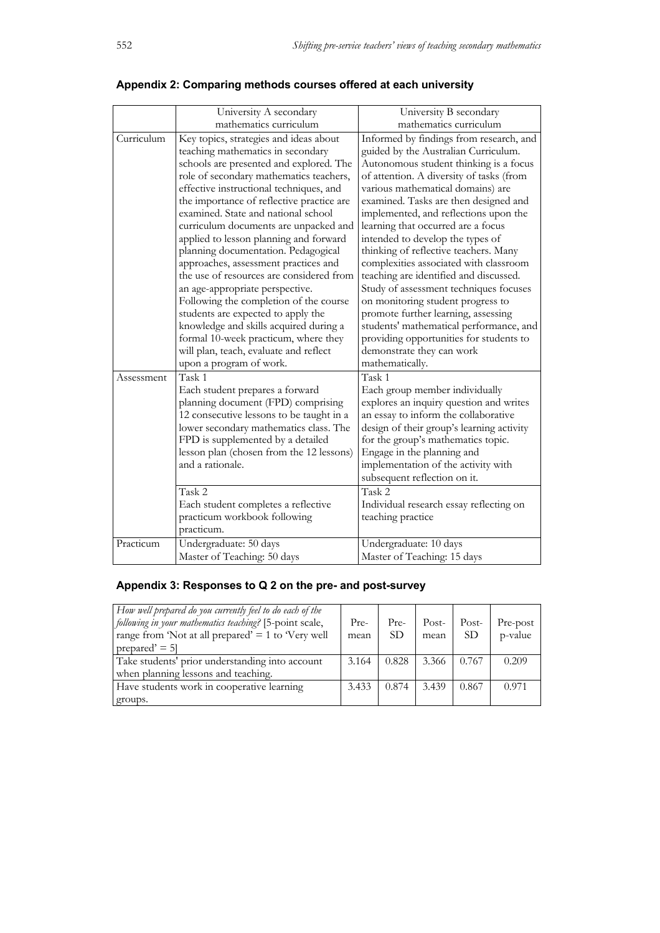|            | University A secondary                                                                                                                                                                                                                                                                                                                                                                                                                                                                                                                                                                                                                                                                                                                                                                   | University B secondary                                                                                                                                                                                                                                                                                                                                                                                                                                                                                                                                                                                                                                                                                                                                          |
|------------|------------------------------------------------------------------------------------------------------------------------------------------------------------------------------------------------------------------------------------------------------------------------------------------------------------------------------------------------------------------------------------------------------------------------------------------------------------------------------------------------------------------------------------------------------------------------------------------------------------------------------------------------------------------------------------------------------------------------------------------------------------------------------------------|-----------------------------------------------------------------------------------------------------------------------------------------------------------------------------------------------------------------------------------------------------------------------------------------------------------------------------------------------------------------------------------------------------------------------------------------------------------------------------------------------------------------------------------------------------------------------------------------------------------------------------------------------------------------------------------------------------------------------------------------------------------------|
|            | mathematics curriculum                                                                                                                                                                                                                                                                                                                                                                                                                                                                                                                                                                                                                                                                                                                                                                   | mathematics curriculum                                                                                                                                                                                                                                                                                                                                                                                                                                                                                                                                                                                                                                                                                                                                          |
| Curriculum | Key topics, strategies and ideas about<br>teaching mathematics in secondary<br>schools are presented and explored. The<br>role of secondary mathematics teachers,<br>effective instructional techniques, and<br>the importance of reflective practice are<br>examined. State and national school<br>curriculum documents are unpacked and<br>applied to lesson planning and forward<br>planning documentation. Pedagogical<br>approaches, assessment practices and<br>the use of resources are considered from<br>an age-appropriate perspective.<br>Following the completion of the course<br>students are expected to apply the<br>knowledge and skills acquired during a<br>formal 10-week practicum, where they<br>will plan, teach, evaluate and reflect<br>upon a program of work. | Informed by findings from research, and<br>guided by the Australian Curriculum.<br>Autonomous student thinking is a focus<br>of attention. A diversity of tasks (from<br>various mathematical domains) are<br>examined. Tasks are then designed and<br>implemented, and reflections upon the<br>learning that occurred are a focus<br>intended to develop the types of<br>thinking of reflective teachers. Many<br>complexities associated with classroom<br>teaching are identified and discussed.<br>Study of assessment techniques focuses<br>on monitoring student progress to<br>promote further learning, assessing<br>students' mathematical performance, and<br>providing opportunities for students to<br>demonstrate they can work<br>mathematically. |
| Assessment | Task 1<br>Each student prepares a forward<br>planning document (FPD) comprising<br>12 consecutive lessons to be taught in a<br>lower secondary mathematics class. The<br>FPD is supplemented by a detailed<br>lesson plan (chosen from the 12 lessons)<br>and a rationale.<br>Task 2<br>Each student completes a reflective<br>practicum workbook following<br>practicum.                                                                                                                                                                                                                                                                                                                                                                                                                | Task 1<br>Each group member individually<br>explores an inquiry question and writes<br>an essay to inform the collaborative<br>design of their group's learning activity<br>for the group's mathematics topic.<br>Engage in the planning and<br>implementation of the activity with<br>subsequent reflection on it.<br>Task 2<br>Individual research essay reflecting on<br>teaching practice                                                                                                                                                                                                                                                                                                                                                                   |
| Practicum  | Undergraduate: 50 days<br>Master of Teaching: 50 days                                                                                                                                                                                                                                                                                                                                                                                                                                                                                                                                                                                                                                                                                                                                    | Undergraduate: 10 days<br>Master of Teaching: 15 days                                                                                                                                                                                                                                                                                                                                                                                                                                                                                                                                                                                                                                                                                                           |

# **Appendix 2: Comparing methods courses offered at each university**

# **Appendix 3: Responses to Q 2 on the pre- and post-survey**

| How well prepared do you currently feel to do each of the<br>following in your mathematics teaching? [5-point scale,<br>range from 'Not at all prepared' $= 1$ to 'Very well<br>prepared' $= 5$ | Pre-<br>mean | Pre-<br>SD. | Post-<br>mean | Post-<br>SD <sub>3</sub> | Pre-post<br>p-value |
|-------------------------------------------------------------------------------------------------------------------------------------------------------------------------------------------------|--------------|-------------|---------------|--------------------------|---------------------|
| Take students' prior understanding into account                                                                                                                                                 | 3.164        | 0.828       | 3.366         | 0.767                    | 0.209               |
| when planning lessons and teaching.                                                                                                                                                             |              |             |               |                          |                     |
| Have students work in cooperative learning                                                                                                                                                      | 3.433        | 0.874       | 3.439         | 0.867                    | 0.971               |
| groups.                                                                                                                                                                                         |              |             |               |                          |                     |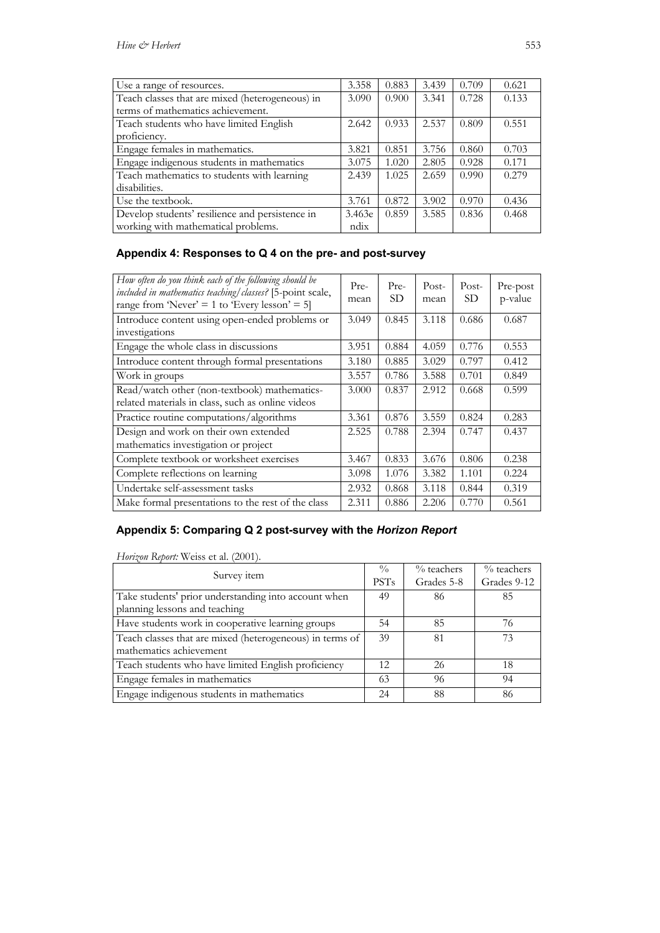| Use a range of resources.                       | 3.358  | 0.883 | 3.439 | 0.709 | 0.621 |
|-------------------------------------------------|--------|-------|-------|-------|-------|
| Teach classes that are mixed (heterogeneous) in | 3.090  | 0.900 | 3.341 | 0.728 | 0.133 |
| terms of mathematics achievement.               |        |       |       |       |       |
| Teach students who have limited English         | 2.642  | 0.933 | 2.537 | 0.809 | 0.551 |
| proficiency.                                    |        |       |       |       |       |
| Engage females in mathematics.                  | 3.821  | 0.851 | 3.756 | 0.860 | 0.703 |
| Engage indigenous students in mathematics       | 3.075  | 1.020 | 2.805 | 0.928 | 0.171 |
| Teach mathematics to students with learning     | 2.439  | 1.025 | 2.659 | 0.990 | 0.279 |
| disabilities.                                   |        |       |       |       |       |
| Use the textbook.                               | 3.761  | 0.872 | 3.902 | 0.970 | 0.436 |
| Develop students' resilience and persistence in | 3.463e | 0.859 | 3.585 | 0.836 | 0.468 |
| working with mathematical problems.             | ndix   |       |       |       |       |

# **Appendix 4: Responses to Q 4 on the pre- and post-survey**

| How often do you think each of the following should be<br>included in mathematics teaching/classes? [5-point scale,<br>range from 'Never' = 1 to 'Every lesson' = 5] | Pre-<br>mean | Pre-<br>SD. | Post-<br>mean | Post-<br>SD | Pre-post<br>p-value |
|----------------------------------------------------------------------------------------------------------------------------------------------------------------------|--------------|-------------|---------------|-------------|---------------------|
| Introduce content using open-ended problems or<br>investigations                                                                                                     | 3.049        | 0.845       | 3.118         | 0.686       | 0.687               |
| Engage the whole class in discussions                                                                                                                                | 3.951        | 0.884       | 4.059         | 0.776       | 0.553               |
| Introduce content through formal presentations                                                                                                                       | 3.180        | 0.885       | 3.029         | 0.797       | 0.412               |
| Work in groups                                                                                                                                                       | 3.557        | 0.786       | 3.588         | 0.701       | 0.849               |
| Read/watch other (non-textbook) mathematics-<br>related materials in class, such as online videos                                                                    | 3.000        | 0.837       | 2.912         | 0.668       | 0.599               |
| Practice routine computations/algorithms                                                                                                                             | 3.361        | 0.876       | 3.559         | 0.824       | 0.283               |
| Design and work on their own extended<br>mathematics investigation or project                                                                                        | 2.525        | 0.788       | 2.394         | 0.747       | 0.437               |
| Complete textbook or worksheet exercises                                                                                                                             | 3.467        | 0.833       | 3.676         | 0.806       | 0.238               |
| Complete reflections on learning                                                                                                                                     | 3.098        | 1.076       | 3.382         | 1.101       | 0.224               |
| Undertake self-assessment tasks                                                                                                                                      | 2.932        | 0.868       | 3.118         | 0.844       | 0.319               |
| Make formal presentations to the rest of the class                                                                                                                   | 2.311        | 0.886       | 2.206         | 0.770       | 0.561               |

## **Appendix 5: Comparing Q 2 post-survey with the** *Horizon Report*

*Horizon Report:* Weiss et al. (2001).

| Survey item                                                                           | $\frac{0}{0}$<br><b>PSTs</b> | $\%$ teachers<br>Grades 5-8 | $\%$ teachers<br>Grades 9-12 |
|---------------------------------------------------------------------------------------|------------------------------|-----------------------------|------------------------------|
| Take students' prior understanding into account when<br>planning lessons and teaching | 49                           | 86                          | 85                           |
| Have students work in cooperative learning groups                                     | 54                           | 85                          | 76                           |
| Teach classes that are mixed (heterogeneous) in terms of<br>mathematics achievement   | 39                           | 81                          | 73                           |
| Teach students who have limited English proficiency                                   | 12                           | 26                          | 18                           |
| Engage females in mathematics                                                         | 63                           | 96                          | 94                           |
| Engage indigenous students in mathematics                                             | 24                           | 88                          | 86                           |